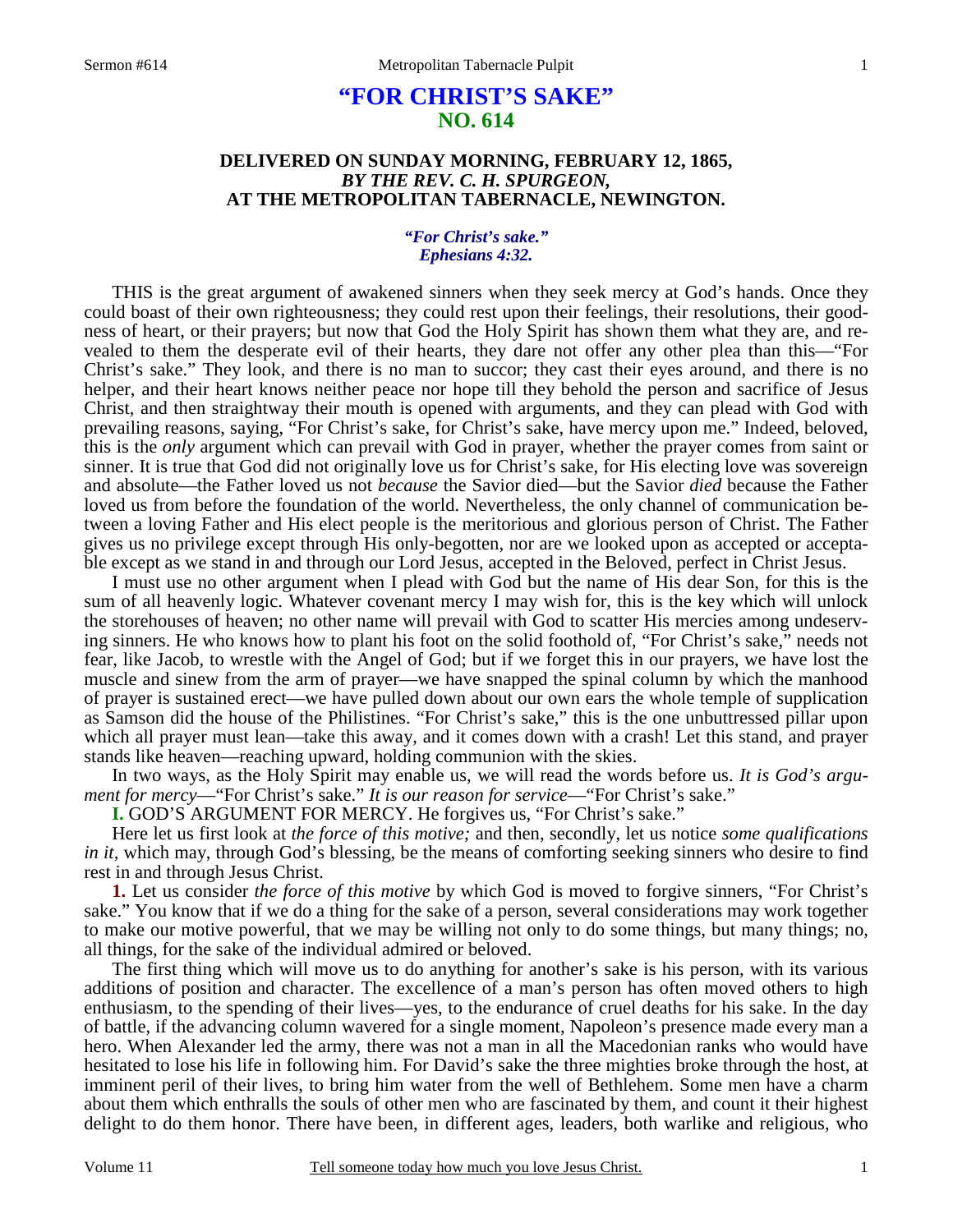# **"FOR CHRIST'S SAKE" NO. 614**

## **DELIVERED ON SUNDAY MORNING, FEBRUARY 12, 1865,**  *BY THE REV. C. H. SPURGEON,*  **AT THE METROPOLITAN TABERNACLE, NEWINGTON.**

## *"For Christ's sake." Ephesians 4:32.*

THIS is the great argument of awakened sinners when they seek mercy at God's hands. Once they could boast of their own righteousness; they could rest upon their feelings, their resolutions, their goodness of heart, or their prayers; but now that God the Holy Spirit has shown them what they are, and revealed to them the desperate evil of their hearts, they dare not offer any other plea than this—"For Christ's sake." They look, and there is no man to succor; they cast their eyes around, and there is no helper, and their heart knows neither peace nor hope till they behold the person and sacrifice of Jesus Christ, and then straightway their mouth is opened with arguments, and they can plead with God with prevailing reasons, saying, "For Christ's sake, for Christ's sake, have mercy upon me." Indeed, beloved, this is the *only* argument which can prevail with God in prayer, whether the prayer comes from saint or sinner. It is true that God did not originally love us for Christ's sake, for His electing love was sovereign and absolute—the Father loved us not *because* the Savior died—but the Savior *died* because the Father loved us from before the foundation of the world. Nevertheless, the only channel of communication between a loving Father and His elect people is the meritorious and glorious person of Christ. The Father gives us no privilege except through His only-begotten, nor are we looked upon as accepted or acceptable except as we stand in and through our Lord Jesus, accepted in the Beloved, perfect in Christ Jesus.

 I must use no other argument when I plead with God but the name of His dear Son, for this is the sum of all heavenly logic. Whatever covenant mercy I may wish for, this is the key which will unlock the storehouses of heaven; no other name will prevail with God to scatter His mercies among undeserving sinners. He who knows how to plant his foot on the solid foothold of, "For Christ's sake," needs not fear, like Jacob, to wrestle with the Angel of God; but if we forget this in our prayers, we have lost the muscle and sinew from the arm of prayer—we have snapped the spinal column by which the manhood of prayer is sustained erect—we have pulled down about our own ears the whole temple of supplication as Samson did the house of the Philistines. "For Christ's sake," this is the one unbuttressed pillar upon which all prayer must lean—take this away, and it comes down with a crash! Let this stand, and prayer stands like heaven—reaching upward, holding communion with the skies.

In two ways, as the Holy Spirit may enable us, we will read the words before us. *It is God's argument for mercy*—"For Christ's sake." *It is our reason for service*—"For Christ's sake."

**I.** GOD'S ARGUMENT FOR MERCY. He forgives us, "For Christ's sake."

Here let us first look at *the force of this motive;* and then, secondly, let us notice *some qualifications in it*, which may, through God's blessing, be the means of comforting seeking sinners who desire to find rest in and through Jesus Christ.

**1.** Let us consider *the force of this motive* by which God is moved to forgive sinners, "For Christ's sake." You know that if we do a thing for the sake of a person, several considerations may work together to make our motive powerful, that we may be willing not only to do some things, but many things; no, all things, for the sake of the individual admired or beloved.

The first thing which will move us to do anything for another's sake is his person, with its various additions of position and character. The excellence of a man's person has often moved others to high enthusiasm, to the spending of their lives—yes, to the endurance of cruel deaths for his sake. In the day of battle, if the advancing column wavered for a single moment, Napoleon's presence made every man a hero. When Alexander led the army, there was not a man in all the Macedonian ranks who would have hesitated to lose his life in following him. For David's sake the three mighties broke through the host, at imminent peril of their lives, to bring him water from the well of Bethlehem. Some men have a charm about them which enthralls the souls of other men who are fascinated by them, and count it their highest delight to do them honor. There have been, in different ages, leaders, both warlike and religious, who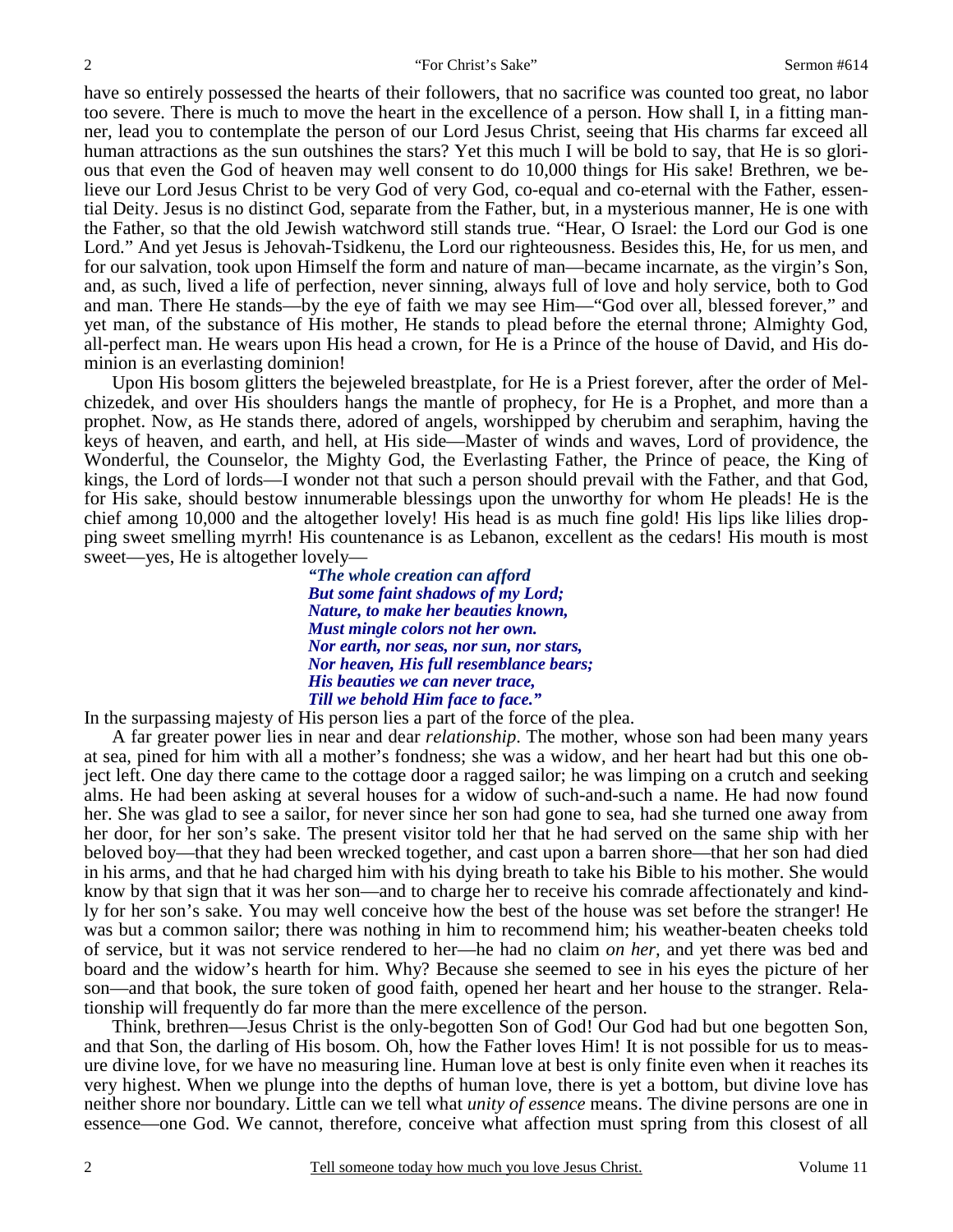have so entirely possessed the hearts of their followers, that no sacrifice was counted too great, no labor too severe. There is much to move the heart in the excellence of a person. How shall I, in a fitting manner, lead you to contemplate the person of our Lord Jesus Christ, seeing that His charms far exceed all human attractions as the sun outshines the stars? Yet this much I will be bold to say, that He is so glorious that even the God of heaven may well consent to do 10,000 things for His sake! Brethren, we believe our Lord Jesus Christ to be very God of very God, co-equal and co-eternal with the Father, essential Deity. Jesus is no distinct God, separate from the Father, but, in a mysterious manner, He is one with the Father, so that the old Jewish watchword still stands true. "Hear, O Israel: the Lord our God is one Lord." And yet Jesus is Jehovah-Tsidkenu, the Lord our righteousness. Besides this, He, for us men, and for our salvation, took upon Himself the form and nature of man—became incarnate, as the virgin's Son, and, as such, lived a life of perfection, never sinning, always full of love and holy service, both to God and man. There He stands—by the eye of faith we may see Him—"God over all, blessed forever," and yet man, of the substance of His mother, He stands to plead before the eternal throne; Almighty God, all-perfect man. He wears upon His head a crown, for He is a Prince of the house of David, and His dominion is an everlasting dominion!

 Upon His bosom glitters the bejeweled breastplate, for He is a Priest forever, after the order of Melchizedek, and over His shoulders hangs the mantle of prophecy, for He is a Prophet, and more than a prophet. Now, as He stands there, adored of angels, worshipped by cherubim and seraphim, having the keys of heaven, and earth, and hell, at His side—Master of winds and waves, Lord of providence, the Wonderful, the Counselor, the Mighty God, the Everlasting Father, the Prince of peace, the King of kings, the Lord of lords—I wonder not that such a person should prevail with the Father, and that God, for His sake, should bestow innumerable blessings upon the unworthy for whom He pleads! He is the chief among 10,000 and the altogether lovely! His head is as much fine gold! His lips like lilies dropping sweet smelling myrrh! His countenance is as Lebanon, excellent as the cedars! His mouth is most sweet—yes, He is altogether lovely—

*"The whole creation can afford But some faint shadows of my Lord; Nature, to make her beauties known, Must mingle colors not her own. Nor earth, nor seas, nor sun, nor stars, Nor heaven, His full resemblance bears; His beauties we can never trace, Till we behold Him face to face."* 

In the surpassing majesty of His person lies a part of the force of the plea.

A far greater power lies in near and dear *relationship*. The mother, whose son had been many years at sea, pined for him with all a mother's fondness; she was a widow, and her heart had but this one object left. One day there came to the cottage door a ragged sailor; he was limping on a crutch and seeking alms. He had been asking at several houses for a widow of such-and-such a name. He had now found her. She was glad to see a sailor, for never since her son had gone to sea, had she turned one away from her door, for her son's sake. The present visitor told her that he had served on the same ship with her beloved boy—that they had been wrecked together, and cast upon a barren shore—that her son had died in his arms, and that he had charged him with his dying breath to take his Bible to his mother. She would know by that sign that it was her son—and to charge her to receive his comrade affectionately and kindly for her son's sake. You may well conceive how the best of the house was set before the stranger! He was but a common sailor; there was nothing in him to recommend him; his weather-beaten cheeks told of service, but it was not service rendered to her—he had no claim *on her,* and yet there was bed and board and the widow's hearth for him. Why? Because she seemed to see in his eyes the picture of her son—and that book, the sure token of good faith, opened her heart and her house to the stranger. Relationship will frequently do far more than the mere excellence of the person.

Think, brethren—Jesus Christ is the only-begotten Son of God! Our God had but one begotten Son, and that Son, the darling of His bosom. Oh, how the Father loves Him! It is not possible for us to measure divine love, for we have no measuring line. Human love at best is only finite even when it reaches its very highest. When we plunge into the depths of human love, there is yet a bottom, but divine love has neither shore nor boundary. Little can we tell what *unity of essence* means. The divine persons are one in essence—one God. We cannot, therefore, conceive what affection must spring from this closest of all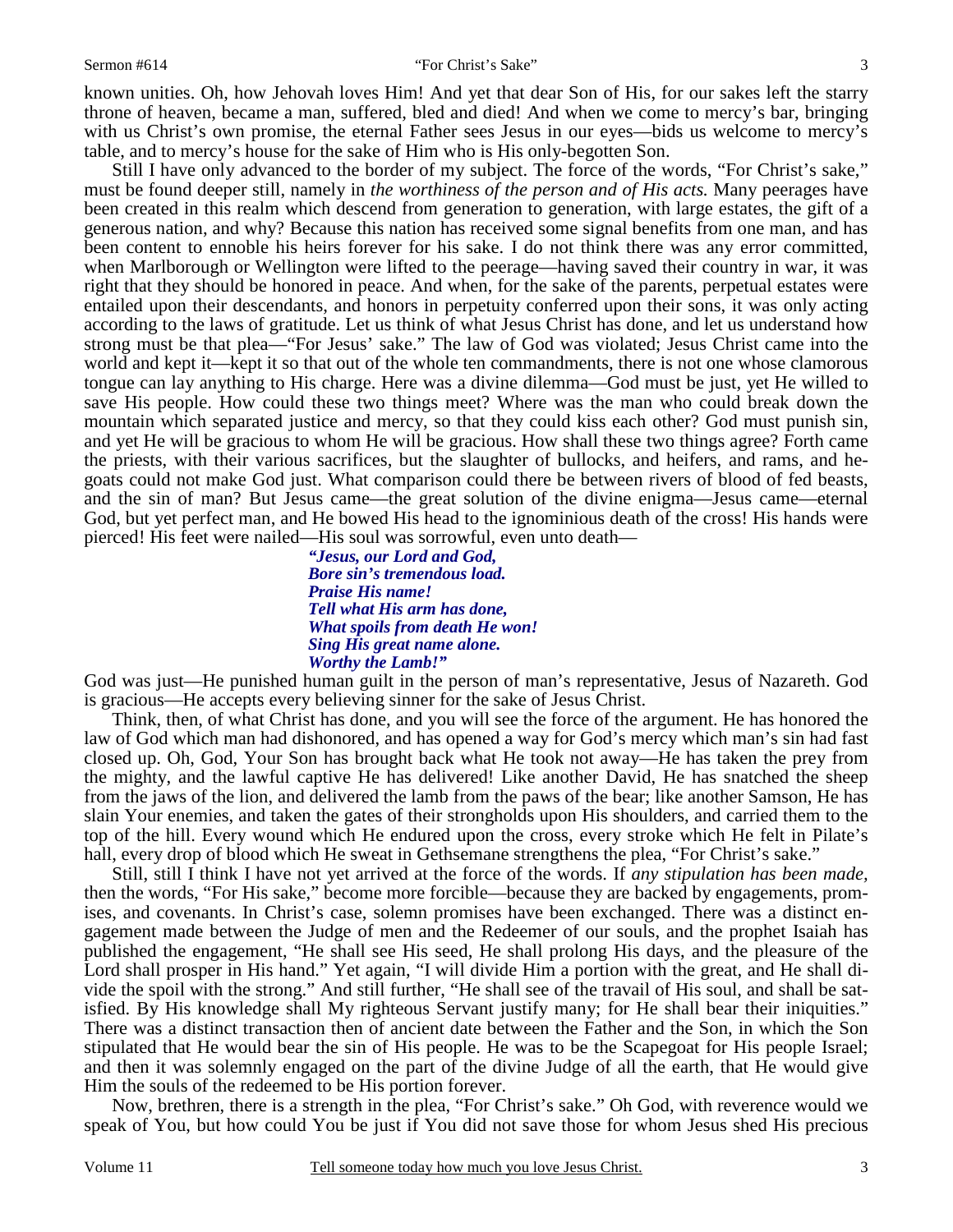#### Sermon #614 "For Christ's Sake"

3

known unities. Oh, how Jehovah loves Him! And yet that dear Son of His, for our sakes left the starry throne of heaven, became a man, suffered, bled and died! And when we come to mercy's bar, bringing with us Christ's own promise, the eternal Father sees Jesus in our eyes—bids us welcome to mercy's table, and to mercy's house for the sake of Him who is His only-begotten Son.

 Still I have only advanced to the border of my subject. The force of the words, "For Christ's sake," must be found deeper still, namely in *the worthiness of the person and of His acts.* Many peerages have been created in this realm which descend from generation to generation, with large estates, the gift of a generous nation, and why? Because this nation has received some signal benefits from one man, and has been content to ennoble his heirs forever for his sake. I do not think there was any error committed, when Marlborough or Wellington were lifted to the peerage—having saved their country in war, it was right that they should be honored in peace. And when, for the sake of the parents, perpetual estates were entailed upon their descendants, and honors in perpetuity conferred upon their sons, it was only acting according to the laws of gratitude. Let us think of what Jesus Christ has done, and let us understand how strong must be that plea—"For Jesus' sake." The law of God was violated; Jesus Christ came into the world and kept it—kept it so that out of the whole ten commandments, there is not one whose clamorous tongue can lay anything to His charge. Here was a divine dilemma—God must be just, yet He willed to save His people. How could these two things meet? Where was the man who could break down the mountain which separated justice and mercy, so that they could kiss each other? God must punish sin, and yet He will be gracious to whom He will be gracious. How shall these two things agree? Forth came the priests, with their various sacrifices, but the slaughter of bullocks, and heifers, and rams, and hegoats could not make God just. What comparison could there be between rivers of blood of fed beasts, and the sin of man? But Jesus came—the great solution of the divine enigma—Jesus came—eternal God, but yet perfect man, and He bowed His head to the ignominious death of the cross! His hands were pierced! His feet were nailed—His soul was sorrowful, even unto death—

> *"Jesus, our Lord and God, Bore sin's tremendous load. Praise His name! Tell what His arm has done, What spoils from death He won! Sing His great name alone. Worthy the Lamb!"*

God was just—He punished human guilt in the person of man's representative, Jesus of Nazareth. God is gracious—He accepts every believing sinner for the sake of Jesus Christ.

 Think, then, of what Christ has done, and you will see the force of the argument. He has honored the law of God which man had dishonored, and has opened a way for God's mercy which man's sin had fast closed up. Oh, God, Your Son has brought back what He took not away—He has taken the prey from the mighty, and the lawful captive He has delivered! Like another David, He has snatched the sheep from the jaws of the lion, and delivered the lamb from the paws of the bear; like another Samson, He has slain Your enemies, and taken the gates of their strongholds upon His shoulders, and carried them to the top of the hill. Every wound which He endured upon the cross, every stroke which He felt in Pilate's hall, every drop of blood which He sweat in Gethsemane strengthens the plea, "For Christ's sake."

 Still, still I think I have not yet arrived at the force of the words. If *any stipulation has been made,* then the words, "For His sake," become more forcible—because they are backed by engagements, promises, and covenants. In Christ's case, solemn promises have been exchanged. There was a distinct engagement made between the Judge of men and the Redeemer of our souls, and the prophet Isaiah has published the engagement, "He shall see His seed, He shall prolong His days, and the pleasure of the Lord shall prosper in His hand." Yet again, "I will divide Him a portion with the great, and He shall divide the spoil with the strong." And still further, "He shall see of the travail of His soul, and shall be satisfied. By His knowledge shall My righteous Servant justify many; for He shall bear their iniquities." There was a distinct transaction then of ancient date between the Father and the Son, in which the Son stipulated that He would bear the sin of His people. He was to be the Scapegoat for His people Israel; and then it was solemnly engaged on the part of the divine Judge of all the earth, that He would give Him the souls of the redeemed to be His portion forever.

 Now, brethren, there is a strength in the plea, "For Christ's sake." Oh God, with reverence would we speak of You, but how could You be just if You did not save those for whom Jesus shed His precious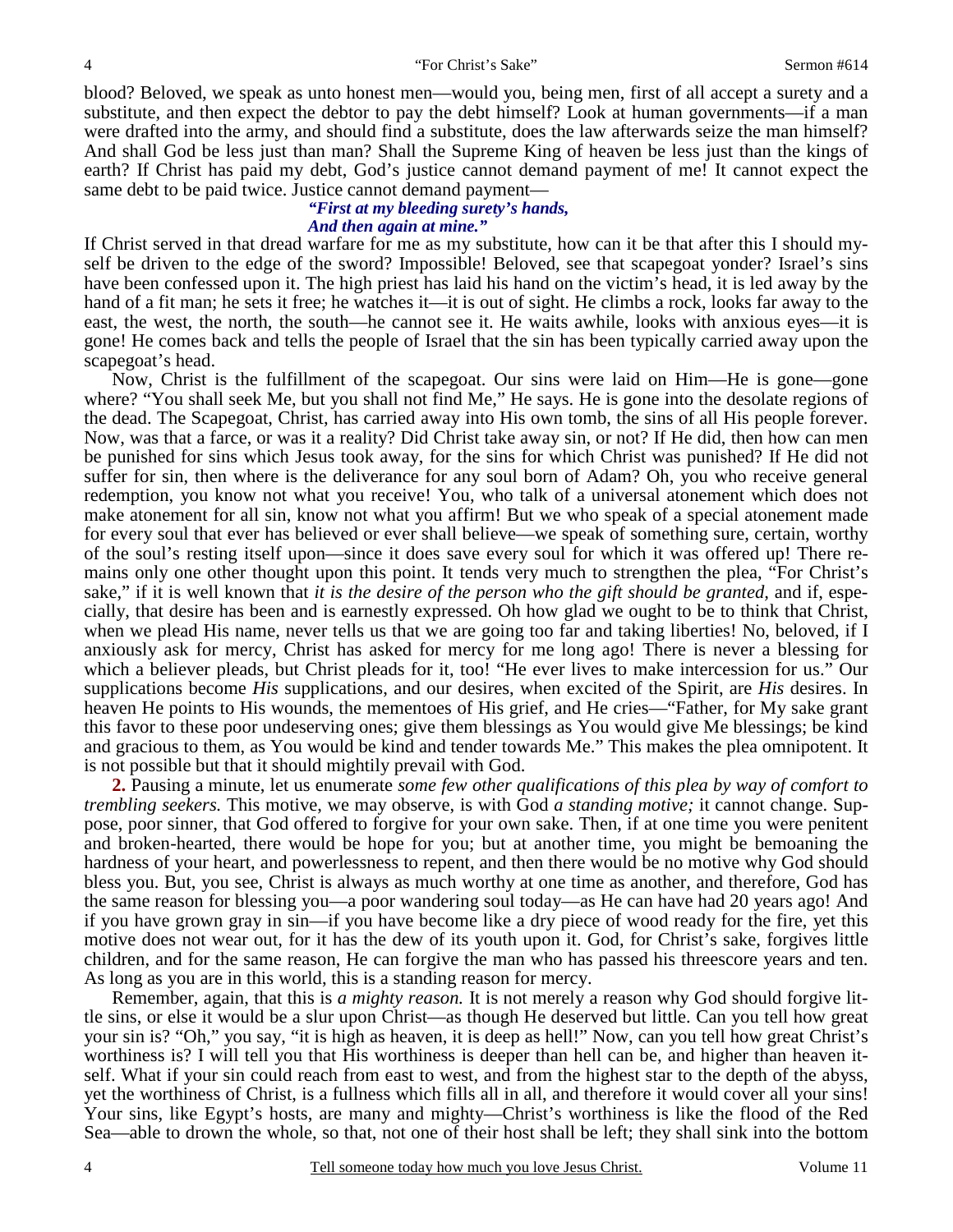blood? Beloved, we speak as unto honest men—would you, being men, first of all accept a surety and a substitute, and then expect the debtor to pay the debt himself? Look at human governments—if a man were drafted into the army, and should find a substitute, does the law afterwards seize the man himself? And shall God be less just than man? Shall the Supreme King of heaven be less just than the kings of earth? If Christ has paid my debt, God's justice cannot demand payment of me! It cannot expect the same debt to be paid twice. Justice cannot demand payment—

#### *"First at my bleeding surety's hands, And then again at mine."*

If Christ served in that dread warfare for me as my substitute, how can it be that after this I should myself be driven to the edge of the sword? Impossible! Beloved, see that scapegoat yonder? Israel's sins have been confessed upon it. The high priest has laid his hand on the victim's head, it is led away by the hand of a fit man; he sets it free; he watches it—it is out of sight. He climbs a rock, looks far away to the east, the west, the north, the south—he cannot see it. He waits awhile, looks with anxious eyes—it is gone! He comes back and tells the people of Israel that the sin has been typically carried away upon the scapegoat's head.

 Now, Christ is the fulfillment of the scapegoat. Our sins were laid on Him—He is gone—gone where? "You shall seek Me, but you shall not find Me," He says. He is gone into the desolate regions of the dead. The Scapegoat, Christ, has carried away into His own tomb, the sins of all His people forever. Now, was that a farce, or was it a reality? Did Christ take away sin, or not? If He did, then how can men be punished for sins which Jesus took away, for the sins for which Christ was punished? If He did not suffer for sin, then where is the deliverance for any soul born of Adam? Oh, you who receive general redemption, you know not what you receive! You, who talk of a universal atonement which does not make atonement for all sin, know not what you affirm! But we who speak of a special atonement made for every soul that ever has believed or ever shall believe—we speak of something sure, certain, worthy of the soul's resting itself upon—since it does save every soul for which it was offered up! There remains only one other thought upon this point. It tends very much to strengthen the plea, "For Christ's sake," if it is well known that *it is the desire of the person who the gift should be granted,* and if, especially, that desire has been and is earnestly expressed. Oh how glad we ought to be to think that Christ, when we plead His name, never tells us that we are going too far and taking liberties! No, beloved, if I anxiously ask for mercy, Christ has asked for mercy for me long ago! There is never a blessing for which a believer pleads, but Christ pleads for it, too! "He ever lives to make intercession for us." Our supplications become *His* supplications, and our desires, when excited of the Spirit, are *His* desires. In heaven He points to His wounds, the mementoes of His grief, and He cries—"Father, for My sake grant this favor to these poor undeserving ones; give them blessings as You would give Me blessings; be kind and gracious to them, as You would be kind and tender towards Me." This makes the plea omnipotent. It is not possible but that it should mightily prevail with God.

**2.** Pausing a minute, let us enumerate *some few other qualifications of this plea by way of comfort to trembling seekers.* This motive, we may observe, is with God *a standing motive;* it cannot change. Suppose, poor sinner, that God offered to forgive for your own sake. Then, if at one time you were penitent and broken-hearted, there would be hope for you; but at another time, you might be bemoaning the hardness of your heart, and powerlessness to repent, and then there would be no motive why God should bless you. But, you see, Christ is always as much worthy at one time as another, and therefore, God has the same reason for blessing you—a poor wandering soul today—as He can have had 20 years ago! And if you have grown gray in sin—if you have become like a dry piece of wood ready for the fire, yet this motive does not wear out, for it has the dew of its youth upon it. God, for Christ's sake, forgives little children, and for the same reason, He can forgive the man who has passed his threescore years and ten. As long as you are in this world, this is a standing reason for mercy.

Remember, again, that this is *a mighty reason.* It is not merely a reason why God should forgive little sins, or else it would be a slur upon Christ—as though He deserved but little. Can you tell how great your sin is? "Oh," you say, "it is high as heaven, it is deep as hell!" Now, can you tell how great Christ's worthiness is? I will tell you that His worthiness is deeper than hell can be, and higher than heaven itself. What if your sin could reach from east to west, and from the highest star to the depth of the abyss, yet the worthiness of Christ, is a fullness which fills all in all, and therefore it would cover all your sins! Your sins, like Egypt's hosts, are many and mighty—Christ's worthiness is like the flood of the Red Sea—able to drown the whole, so that, not one of their host shall be left; they shall sink into the bottom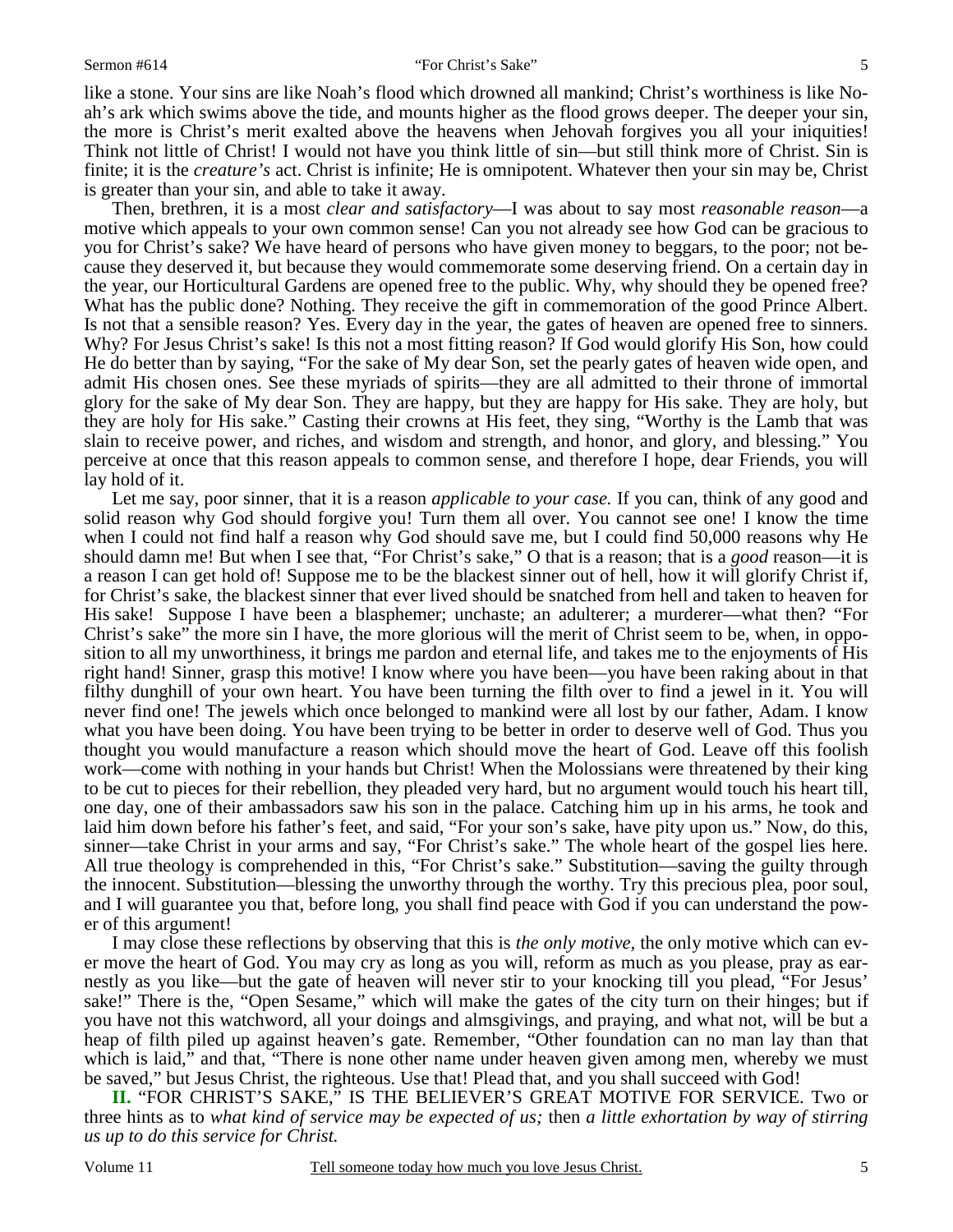#### Sermon #614 "For Christ's Sake"

like a stone. Your sins are like Noah's flood which drowned all mankind; Christ's worthiness is like Noah's ark which swims above the tide, and mounts higher as the flood grows deeper. The deeper your sin, the more is Christ's merit exalted above the heavens when Jehovah forgives you all your iniquities! Think not little of Christ! I would not have you think little of sin—but still think more of Christ. Sin is finite; it is the *creature's* act. Christ is infinite; He is omnipotent. Whatever then your sin may be, Christ is greater than your sin, and able to take it away.

 Then, brethren, it is a most *clear and satisfactory*—I was about to say most *reasonable reason*—a motive which appeals to your own common sense! Can you not already see how God can be gracious to you for Christ's sake? We have heard of persons who have given money to beggars, to the poor; not because they deserved it, but because they would commemorate some deserving friend. On a certain day in the year, our Horticultural Gardens are opened free to the public. Why, why should they be opened free? What has the public done? Nothing. They receive the gift in commemoration of the good Prince Albert. Is not that a sensible reason? Yes. Every day in the year, the gates of heaven are opened free to sinners. Why? For Jesus Christ's sake! Is this not a most fitting reason? If God would glorify His Son, how could He do better than by saying, "For the sake of My dear Son, set the pearly gates of heaven wide open, and admit His chosen ones. See these myriads of spirits—they are all admitted to their throne of immortal glory for the sake of My dear Son. They are happy, but they are happy for His sake. They are holy, but they are holy for His sake." Casting their crowns at His feet, they sing, "Worthy is the Lamb that was slain to receive power, and riches, and wisdom and strength, and honor, and glory, and blessing." You perceive at once that this reason appeals to common sense, and therefore I hope, dear Friends, you will lay hold of it.

Let me say, poor sinner, that it is a reason *applicable to your case.* If you can, think of any good and solid reason why God should forgive you! Turn them all over. You cannot see one! I know the time when I could not find half a reason why God should save me, but I could find 50,000 reasons why He should damn me! But when I see that, "For Christ's sake," O that is a reason; that is a *good* reason—it is a reason I can get hold of! Suppose me to be the blackest sinner out of hell, how it will glorify Christ if, for Christ's sake, the blackest sinner that ever lived should be snatched from hell and taken to heaven for His sake! Suppose I have been a blasphemer; unchaste; an adulterer; a murderer—what then? "For Christ's sake" the more sin I have, the more glorious will the merit of Christ seem to be, when, in opposition to all my unworthiness, it brings me pardon and eternal life, and takes me to the enjoyments of His right hand! Sinner, grasp this motive! I know where you have been—you have been raking about in that filthy dunghill of your own heart. You have been turning the filth over to find a jewel in it. You will never find one! The jewels which once belonged to mankind were all lost by our father, Adam. I know what you have been doing. You have been trying to be better in order to deserve well of God. Thus you thought you would manufacture a reason which should move the heart of God. Leave off this foolish work—come with nothing in your hands but Christ! When the Molossians were threatened by their king to be cut to pieces for their rebellion, they pleaded very hard, but no argument would touch his heart till, one day, one of their ambassadors saw his son in the palace. Catching him up in his arms, he took and laid him down before his father's feet, and said, "For your son's sake, have pity upon us." Now, do this, sinner—take Christ in your arms and say, "For Christ's sake." The whole heart of the gospel lies here. All true theology is comprehended in this, "For Christ's sake." Substitution—saving the guilty through the innocent. Substitution—blessing the unworthy through the worthy. Try this precious plea, poor soul, and I will guarantee you that, before long, you shall find peace with God if you can understand the power of this argument!

I may close these reflections by observing that this is *the only motive,* the only motive which can ever move the heart of God. You may cry as long as you will, reform as much as you please, pray as earnestly as you like—but the gate of heaven will never stir to your knocking till you plead, "For Jesus' sake!" There is the, "Open Sesame," which will make the gates of the city turn on their hinges; but if you have not this watchword, all your doings and almsgivings, and praying, and what not, will be but a heap of filth piled up against heaven's gate. Remember, "Other foundation can no man lay than that which is laid," and that, "There is none other name under heaven given among men, whereby we must be saved," but Jesus Christ, the righteous. Use that! Plead that, and you shall succeed with God!

**II.** "FOR CHRIST'S SAKE," IS THE BELIEVER'S GREAT MOTIVE FOR SERVICE. Two or three hints as to *what kind of service may be expected of us;* then *a little exhortation by way of stirring us up to do this service for Christ.*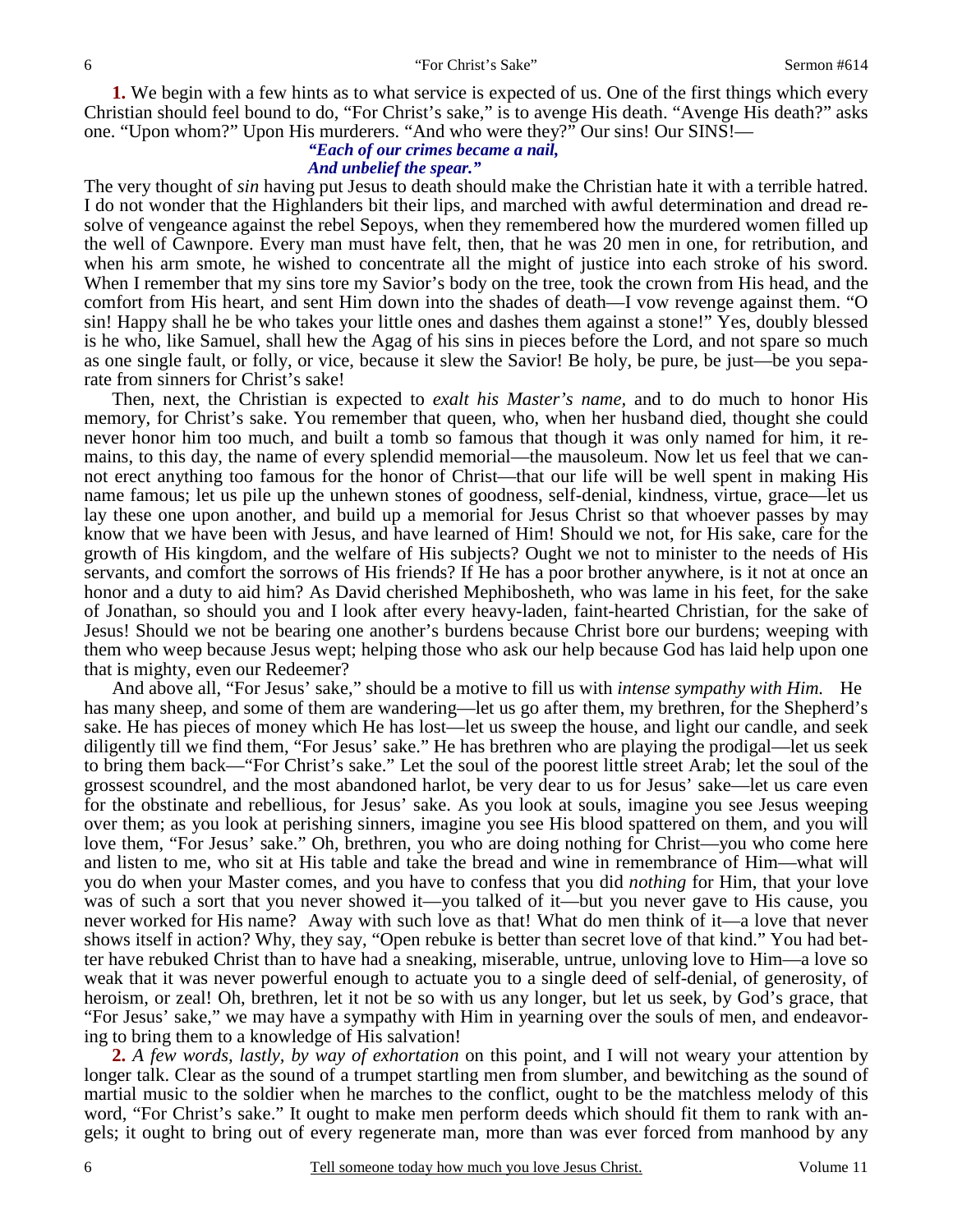**1.** We begin with a few hints as to what service is expected of us. One of the first things which every Christian should feel bound to do, "For Christ's sake," is to avenge His death. "Avenge His death?" asks one. "Upon whom?" Upon His murderers. "And who were they?" Our sins! Our SINS!—

# *"Each of our crimes became a nail,*

## *And unbelief the spear."*

The very thought of *sin* having put Jesus to death should make the Christian hate it with a terrible hatred. I do not wonder that the Highlanders bit their lips, and marched with awful determination and dread resolve of vengeance against the rebel Sepoys, when they remembered how the murdered women filled up the well of Cawnpore. Every man must have felt, then, that he was 20 men in one, for retribution, and when his arm smote, he wished to concentrate all the might of justice into each stroke of his sword. When I remember that my sins tore my Savior's body on the tree, took the crown from His head, and the comfort from His heart, and sent Him down into the shades of death—I vow revenge against them. "O sin! Happy shall he be who takes your little ones and dashes them against a stone!" Yes, doubly blessed is he who, like Samuel, shall hew the Agag of his sins in pieces before the Lord, and not spare so much as one single fault, or folly, or vice, because it slew the Savior! Be holy, be pure, be just—be you separate from sinners for Christ's sake!

 Then, next, the Christian is expected to *exalt his Master's name,* and to do much to honor His memory, for Christ's sake. You remember that queen, who, when her husband died, thought she could never honor him too much, and built a tomb so famous that though it was only named for him, it remains, to this day, the name of every splendid memorial—the mausoleum. Now let us feel that we cannot erect anything too famous for the honor of Christ—that our life will be well spent in making His name famous; let us pile up the unhewn stones of goodness, self-denial, kindness, virtue, grace—let us lay these one upon another, and build up a memorial for Jesus Christ so that whoever passes by may know that we have been with Jesus, and have learned of Him! Should we not, for His sake, care for the growth of His kingdom, and the welfare of His subjects? Ought we not to minister to the needs of His servants, and comfort the sorrows of His friends? If He has a poor brother anywhere, is it not at once an honor and a duty to aid him? As David cherished Mephibosheth, who was lame in his feet, for the sake of Jonathan, so should you and I look after every heavy-laden, faint-hearted Christian, for the sake of Jesus! Should we not be bearing one another's burdens because Christ bore our burdens; weeping with them who weep because Jesus wept; helping those who ask our help because God has laid help upon one that is mighty, even our Redeemer?

And above all, "For Jesus' sake," should be a motive to fill us with *intense sympathy with Him.* He has many sheep, and some of them are wandering—let us go after them, my brethren, for the Shepherd's sake. He has pieces of money which He has lost—let us sweep the house, and light our candle, and seek diligently till we find them, "For Jesus' sake." He has brethren who are playing the prodigal—let us seek to bring them back—"For Christ's sake." Let the soul of the poorest little street Arab; let the soul of the grossest scoundrel, and the most abandoned harlot, be very dear to us for Jesus' sake—let us care even for the obstinate and rebellious, for Jesus' sake. As you look at souls, imagine you see Jesus weeping over them; as you look at perishing sinners, imagine you see His blood spattered on them, and you will love them, "For Jesus' sake." Oh, brethren, you who are doing nothing for Christ—you who come here and listen to me, who sit at His table and take the bread and wine in remembrance of Him—what will you do when your Master comes, and you have to confess that you did *nothing* for Him, that your love was of such a sort that you never showed it—you talked of it—but you never gave to His cause, you never worked for His name? Away with such love as that! What do men think of it—a love that never shows itself in action? Why, they say, "Open rebuke is better than secret love of that kind." You had better have rebuked Christ than to have had a sneaking, miserable, untrue, unloving love to Him—a love so weak that it was never powerful enough to actuate you to a single deed of self-denial, of generosity, of heroism, or zeal! Oh, brethren, let it not be so with us any longer, but let us seek, by God's grace, that "For Jesus' sake," we may have a sympathy with Him in yearning over the souls of men, and endeavoring to bring them to a knowledge of His salvation!

**2.** *A few words, lastly, by way of exhortation* on this point, and I will not weary your attention by longer talk. Clear as the sound of a trumpet startling men from slumber, and bewitching as the sound of martial music to the soldier when he marches to the conflict, ought to be the matchless melody of this word, "For Christ's sake." It ought to make men perform deeds which should fit them to rank with angels; it ought to bring out of every regenerate man, more than was ever forced from manhood by any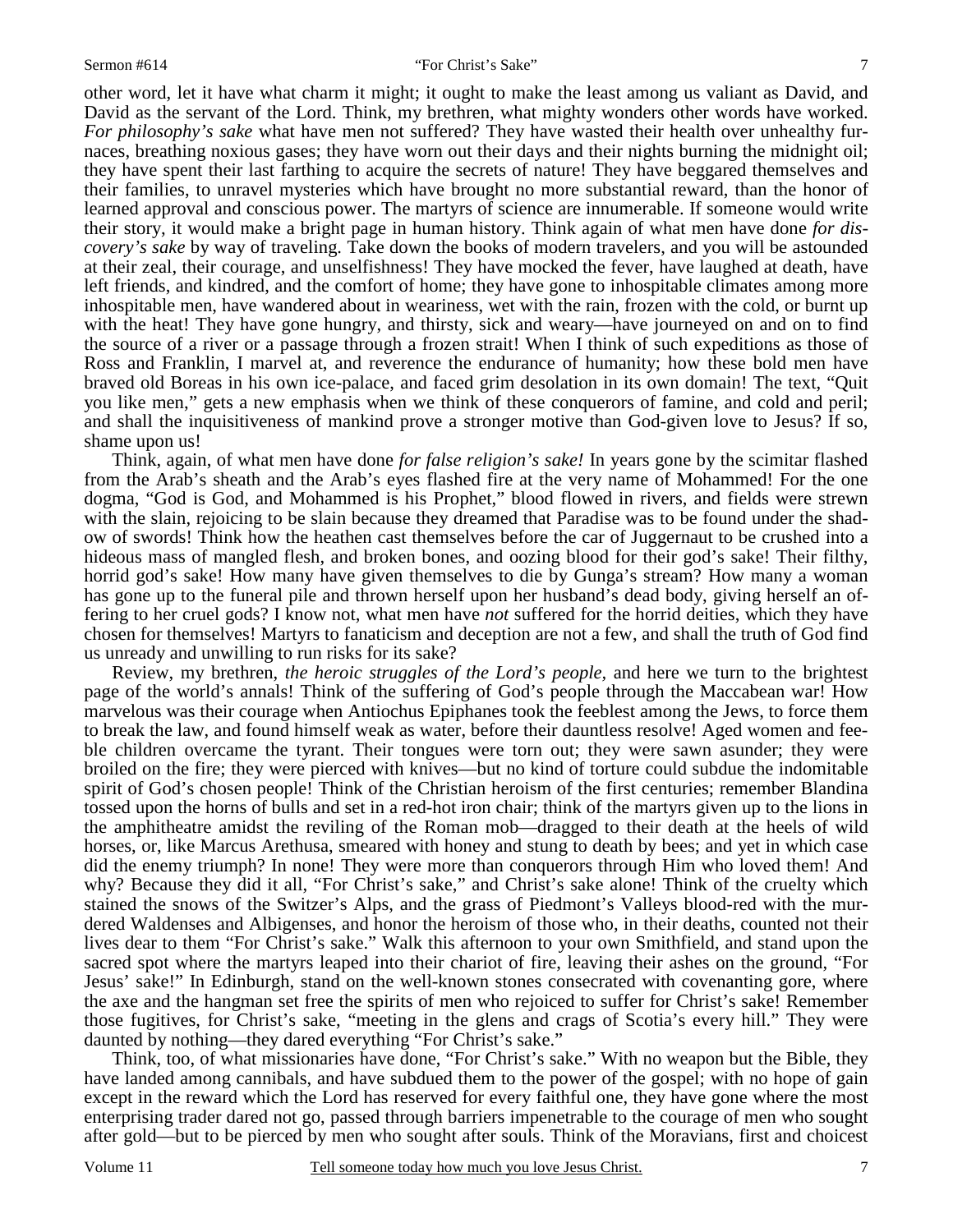other word, let it have what charm it might; it ought to make the least among us valiant as David, and David as the servant of the Lord. Think, my brethren, what mighty wonders other words have worked. *For philosophy's sake* what have men not suffered? They have wasted their health over unhealthy furnaces, breathing noxious gases; they have worn out their days and their nights burning the midnight oil; they have spent their last farthing to acquire the secrets of nature! They have beggared themselves and their families, to unravel mysteries which have brought no more substantial reward, than the honor of learned approval and conscious power. The martyrs of science are innumerable. If someone would write their story, it would make a bright page in human history. Think again of what men have done *for discovery's sake* by way of traveling. Take down the books of modern travelers, and you will be astounded at their zeal, their courage, and unselfishness! They have mocked the fever, have laughed at death, have left friends, and kindred, and the comfort of home; they have gone to inhospitable climates among more inhospitable men, have wandered about in weariness, wet with the rain, frozen with the cold, or burnt up with the heat! They have gone hungry, and thirsty, sick and weary—have journeyed on and on to find the source of a river or a passage through a frozen strait! When I think of such expeditions as those of Ross and Franklin, I marvel at, and reverence the endurance of humanity; how these bold men have braved old Boreas in his own ice-palace, and faced grim desolation in its own domain! The text, "Quit

you like men," gets a new emphasis when we think of these conquerors of famine, and cold and peril; and shall the inquisitiveness of mankind prove a stronger motive than God-given love to Jesus? If so, shame upon us! Think, again, of what men have done *for false religion's sake!* In years gone by the scimitar flashed from the Arab's sheath and the Arab's eyes flashed fire at the very name of Mohammed! For the one

dogma, "God is God, and Mohammed is his Prophet," blood flowed in rivers, and fields were strewn with the slain, rejoicing to be slain because they dreamed that Paradise was to be found under the shadow of swords! Think how the heathen cast themselves before the car of Juggernaut to be crushed into a hideous mass of mangled flesh, and broken bones, and oozing blood for their god's sake! Their filthy, horrid god's sake! How many have given themselves to die by Gunga's stream? How many a woman has gone up to the funeral pile and thrown herself upon her husband's dead body, giving herself an offering to her cruel gods? I know not, what men have *not* suffered for the horrid deities, which they have chosen for themselves! Martyrs to fanaticism and deception are not a few, and shall the truth of God find us unready and unwilling to run risks for its sake?

Review, my brethren, *the heroic struggles of the Lord's people,* and here we turn to the brightest page of the world's annals! Think of the suffering of God's people through the Maccabean war! How marvelous was their courage when Antiochus Epiphanes took the feeblest among the Jews, to force them to break the law, and found himself weak as water, before their dauntless resolve! Aged women and feeble children overcame the tyrant. Their tongues were torn out; they were sawn asunder; they were broiled on the fire; they were pierced with knives—but no kind of torture could subdue the indomitable spirit of God's chosen people! Think of the Christian heroism of the first centuries; remember Blandina tossed upon the horns of bulls and set in a red-hot iron chair; think of the martyrs given up to the lions in the amphitheatre amidst the reviling of the Roman mob—dragged to their death at the heels of wild horses, or, like Marcus Arethusa, smeared with honey and stung to death by bees; and yet in which case did the enemy triumph? In none! They were more than conquerors through Him who loved them! And why? Because they did it all, "For Christ's sake," and Christ's sake alone! Think of the cruelty which stained the snows of the Switzer's Alps, and the grass of Piedmont's Valleys blood-red with the murdered Waldenses and Albigenses, and honor the heroism of those who, in their deaths, counted not their lives dear to them "For Christ's sake." Walk this afternoon to your own Smithfield, and stand upon the sacred spot where the martyrs leaped into their chariot of fire, leaving their ashes on the ground, "For Jesus' sake!" In Edinburgh, stand on the well-known stones consecrated with covenanting gore, where the axe and the hangman set free the spirits of men who rejoiced to suffer for Christ's sake! Remember those fugitives, for Christ's sake, "meeting in the glens and crags of Scotia's every hill." They were daunted by nothing—they dared everything "For Christ's sake."

Think, too, of what missionaries have done, "For Christ's sake." With no weapon but the Bible, they have landed among cannibals, and have subdued them to the power of the gospel; with no hope of gain except in the reward which the Lord has reserved for every faithful one, they have gone where the most enterprising trader dared not go, passed through barriers impenetrable to the courage of men who sought after gold—but to be pierced by men who sought after souls. Think of the Moravians, first and choicest